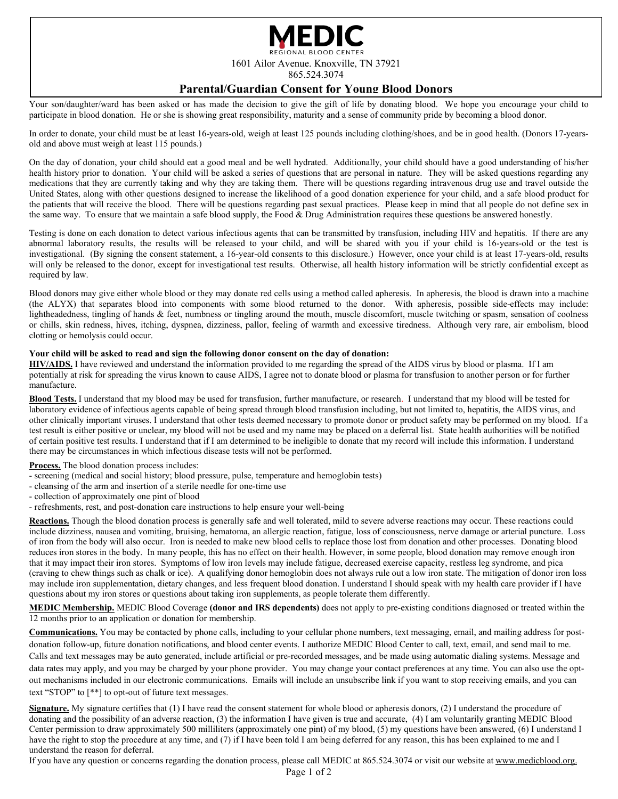

### **Parental/Guardian Consent for Young Blood Donors**

Your son/daughter/ward has been asked or has made the decision to give the gift of life by donating blood. We hope you encourage your child to participate in blood donation. He or she is showing great responsibility, maturity and a sense of community pride by becoming a blood donor.

In order to donate, your child must be at least 16-years-old, weigh at least 125 pounds including clothing/shoes, and be in good health. (Donors 17-yearsold and above must weigh at least 115 pounds.)

On the day of donation, your child should eat a good meal and be well hydrated. Additionally, your child should have a good understanding of his/her health history prior to donation. Your child will be asked a series of questions that are personal in nature. They will be asked questions regarding any medications that they are currently taking and why they are taking them. There will be questions regarding intravenous drug use and travel outside the United States, along with other questions designed to increase the likelihood of a good donation experience for your child, and a safe blood product for the patients that will receive the blood. There will be questions regarding past sexual practices. Please keep in mind that all people do not define sex in the same way. To ensure that we maintain a safe blood supply, the Food & Drug Administration requires these questions be answered honestly.

Testing is done on each donation to detect various infectious agents that can be transmitted by transfusion, including HIV and hepatitis. If there are any abnormal laboratory results, the results will be released to your child, and will be shared with you if your child is 16-years-old or the test is investigational. (By signing the consent statement, a 16-year-old consents to this disclosure.) However, once your child is at least 17-years-old, results will only be released to the donor, except for investigational test results. Otherwise, all health history information will be strictly confidential except as required by law.

Blood donors may give either whole blood or they may donate red cells using a method called apheresis. In apheresis, the blood is drawn into a machine (the ALYX) that separates blood into components with some blood returned to the donor. With apheresis, possible side-effects may include: lightheadedness, tingling of hands & feet, numbness or tingling around the mouth, muscle discomfort, muscle twitching or spasm, sensation of coolness or chills, skin redness, hives, itching, dyspnea, dizziness, pallor, feeling of warmth and excessive tiredness. Although very rare, air embolism, blood clotting or hemolysis could occur.

#### **Your child will be asked to read and sign the following donor consent on the day of donation:**

**HIV/AIDS.** I have reviewed and understand the information provided to me regarding the spread of the AIDS virus by blood or plasma. If I am potentially at risk for spreading the virus known to cause AIDS, I agree not to donate blood or plasma for transfusion to another person or for further manufacture.

**Blood Tests.** I understand that my blood may be used for transfusion, further manufacture, or research. I understand that my blood will be tested for laboratory evidence of infectious agents capable of being spread through blood transfusion including, but not limited to, hepatitis, the AIDS virus, and other clinically important viruses. I understand that other tests deemed necessary to promote donor or product safety may be performed on my blood. If a test result is either positive or unclear, my blood will not be used and my name may be placed on a deferral list. State health authorities will be notified of certain positive test results. I understand that if I am determined to be ineligible to donate that my record will include this information. I understand there may be circumstances in which infectious disease tests will not be performed.

**Process.** The blood donation process includes:

- screening (medical and social history; blood pressure, pulse, temperature and hemoglobin tests)
- cleansing of the arm and insertion of a sterile needle for one-time use
- collection of approximately one pint of blood
- refreshments, rest, and post-donation care instructions to help ensure your well-being

Reactions. Though the blood donation process is generally safe and well tolerated, mild to severe adverse reactions may occur. These reactions could include dizziness, nausea and vomiting, bruising, hematoma, an allergic reaction, fatigue, loss of consciousness, nerve damage or arterial puncture. Loss of iron from the body will also occur. Iron is needed to make new blood cells to replace those lost from donation and other processes. Donating blood reduces iron stores in the body. In many people, this has no effect on their health. However, in some people, blood donation may remove enough iron that it may impact their iron stores. Symptoms of low iron levels may include fatigue, decreased exercise capacity, restless leg syndrome, and pica (craving to chew things such as chalk or ice). A qualifying donor hemoglobin does not always rule out a low iron state. The mitigation of donor iron loss may include iron supplementation, dietary changes, and less frequent blood donation. I understand I should speak with my health care provider if I have questions about my iron stores or questions about taking iron supplements, as people tolerate them differently.

**MEDIC Membership.** MEDIC Blood Coverage **(donor and IRS dependents)** does not apply to pre-existing conditions diagnosed or treated within the 12 months prior to an application or donation for membership.

**Communications.** You may be contacted by phone calls, including to your cellular phone numbers, text messaging, email, and mailing address for postdonation follow-up, future donation notifications, and blood center events. I authorize MEDIC Blood Center to call, text, email, and send mail to me. Calls and text messages may be auto generated, include artificial or pre-recorded messages, and be made using automatic dialing systems. Message and data rates may apply, and you may be charged by your phone provider. You may change your contact preferences at any time. You can also use the optout mechanisms included in our electronic communications. Emails will include an unsubscribe link if you want to stop receiving emails, and you can text "STOP" to [\*\*] to opt-out of future text messages.

Signature. My signature certifies that (1) I have read the consent statement for whole blood or apheresis donors, (2) I understand the procedure of donating and the possibility of an adverse reaction, (3) the information I have given is true and accurate, (4) I am voluntarily granting MEDIC Blood Center permission to draw approximately 500 milliliters (approximately one pint) of my blood, (5) my questions have been answered*,* (6) I understand I have the right to stop the procedure at any time, and (7) if I have been told I am being deferred for any reason, this has been explained to me and I understand the reason for deferral.

If you have any question or concerns regarding the donation process, please call MEDIC at 865.524.3074 or visit our website at www.medicblood.org.